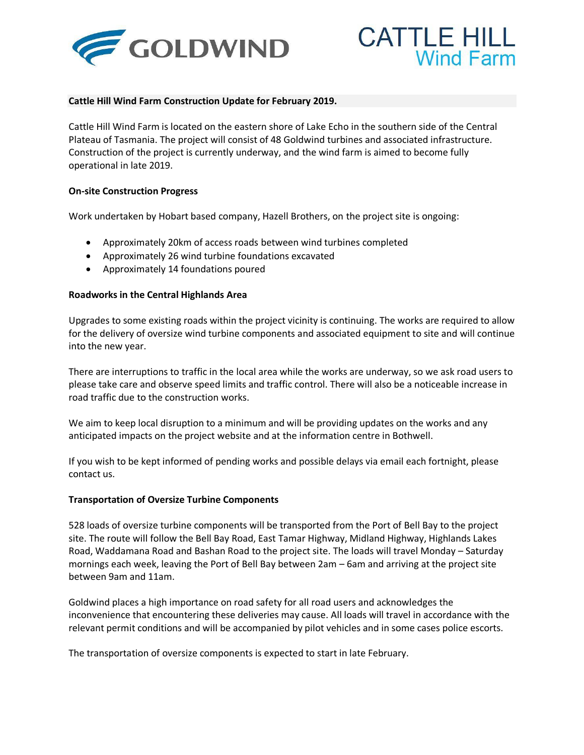



## **Cattle Hill Wind Farm Construction Update for February 2019.**

Cattle Hill Wind Farm is located on the eastern shore of Lake Echo in the southern side of the Central Plateau of Tasmania. The project will consist of 48 Goldwind turbines and associated infrastructure. Construction of the project is currently underway, and the wind farm is aimed to become fully operational in late 2019.

### **On-site Construction Progress**

Work undertaken by Hobart based company, Hazell Brothers, on the project site is ongoing:

- Approximately 20km of access roads between wind turbines completed
- Approximately 26 wind turbine foundations excavated
- Approximately 14 foundations poured

### **Roadworks in the Central Highlands Area**

Upgrades to some existing roads within the project vicinity is continuing. The works are required to allow for the delivery of oversize wind turbine components and associated equipment to site and will continue into the new year.

There are interruptions to traffic in the local area while the works are underway, so we ask road users to please take care and observe speed limits and traffic control. There will also be a noticeable increase in road traffic due to the construction works.

We aim to keep local disruption to a minimum and will be providing updates on the works and any anticipated impacts on the project website and at the information centre in Bothwell.

If you wish to be kept informed of pending works and possible delays via email each fortnight, please contact us.

### **Transportation of Oversize Turbine Components**

528 loads of oversize turbine components will be transported from the Port of Bell Bay to the project site. The route will follow the Bell Bay Road, East Tamar Highway, Midland Highway, Highlands Lakes Road, Waddamana Road and Bashan Road to the project site. The loads will travel Monday – Saturday mornings each week, leaving the Port of Bell Bay between 2am – 6am and arriving at the project site between 9am and 11am.

Goldwind places a high importance on road safety for all road users and acknowledges the inconvenience that encountering these deliveries may cause. All loads will travel in accordance with the relevant permit conditions and will be accompanied by pilot vehicles and in some cases police escorts.

The transportation of oversize components is expected to start in late February.